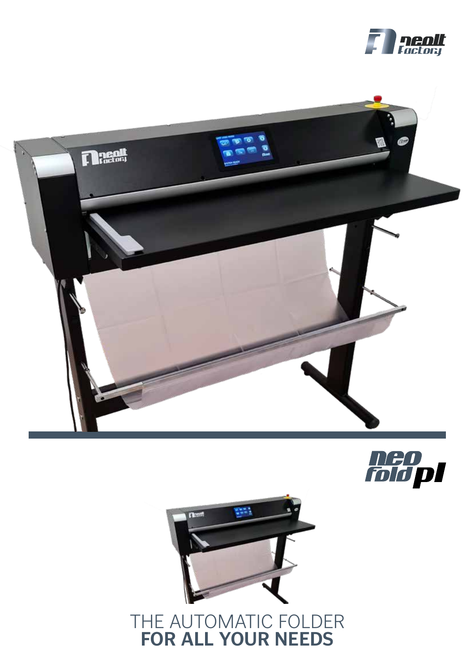







## THE AUTOMATIC FOLDER **FOR ALL YOUR NEEDS**